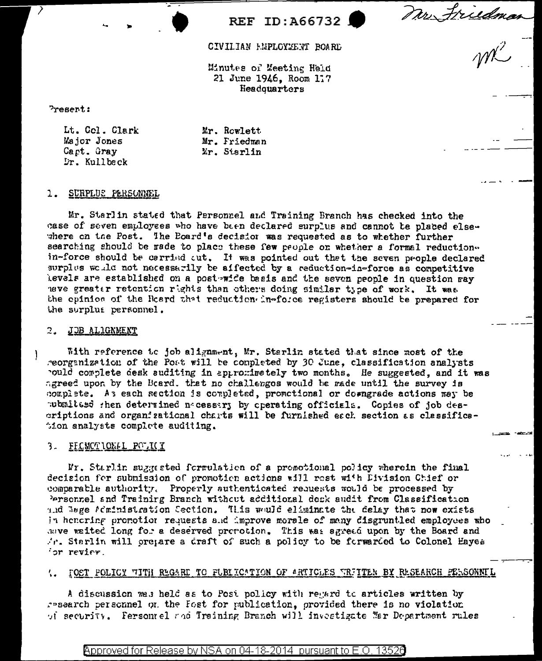Mr Friedman

CIVILIAN HEPLOYEENT ROARD

REF ID:A66732

Minutes of Meeting Held 21 June 1946, Room 117 Headquarters

Present:

Lt. Col. Clark Major Jones Capt. Gray Dr. Kullbeck

Mr. Rowlett Mr. Friedman Mr. Starlin

### 1. SURPLUS PERSONNEL

Mr. Starlin stated that Personnel and Training Branch has checked into the case of seven employees who have been declared surplus and cannot te placed elsewhere on the Post. The Board's decision was requested as to whether further searching should be rade to place these few people or whether a formal reductionin-force should be carried cut. It was pointed out that the seven people declared surplus would not necessarily be affected by a reduction-in-force as competitive levels are established on a post wide basis and the seven people in question ray nave greater retention rights than others doing similar type of work. It was the opinion of the Reard that reduction in-force registers should be prepared for the surplus personnel.

### 2. JOB ALIGNMENT

With reference to job alignment, Mr. Starlin stated that since most of the reorganization of the Post will be completed by 30 June, classification analysts pould complete desk suditing in approminately two months. He suggested, and it was agreed upon by the Etard. that no challenges would be made until the survey is complete. As each section is completed, promotional or downgrade actions may be pubmitted then determined nacessary by operating officials. Copies of job descriptions and organizational charts will be furnished each section as classification analysts complete auditing.

## 3. FECMOTIONAL POLICY

Mr. Starlin suggested formulation of a promotional policy wherein the final decision for submission of promotion actions will rest with Division Chief or comparable authority. Properly suthenticated requests would be processed by Personnel and Training Branch without additional deck audit from Classification and bage feministration Section. This would eliminate the delay that now exists in henering premotion requests and improve morale of many disgruntled employees who save waited long for a deserved promotion. This was agreed upon by the Board and Ar. Starlin will oregare a draft of such a policy to be forwarded to Colonel Hayes or review.

#### '. FOST FOLICY "TITH REGARE TO FUBLICATION OF ARTICLES TRITTEN BY RESEARCH PERSONNEL

A discussion was held as to Post policy with regard to articles written by research personnel on the Fost for publication, provided there is no violation of security. Fersontel and Training Branch will investigate Mar Department rules

<code>Approved</code> for Release by NSA on 04-18-2014 pursuant to E.O. 13526